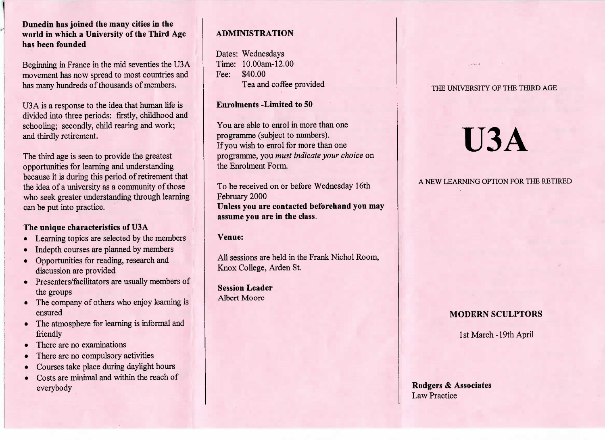# **Dunedin has joined the many cities in the world in which a University of the Third Agehas been founded**

Beginning in France in the mid seventies the USA movement has now spread to most countries andhas many hundreds of thousands of members.

U3 A is a response to the idea that human life is divided into three periods: firstly, childhood andschooling; secondly, child rearing and work;and thirdly retirement.

The third age is seen to provide the greatest opportunities for learning and understanding because it is during this period of retirement thatthe idea of a university as a community of those who seek greater understanding through learningcan be put into practice.

#### **The unique characteristics of U3A**

- Learning topics are selected by the members
- Indepth courses are planned by members
- Opportunities for reading, research anddiscussion are provided
- Presenters/facilitators are usually members ofthe groups
- The company of others who enjoy learning isensured
- The atmosphere for learning is informal andfriendly
- There are no examinations
- There are no compulsory activities
- Courses take place during daylight hours
- Costs are minimal and within the reach ofeverybody

# **ADMINISTRATION**

Dates: Wednesdays Time: 10.00am-12.00Fee: \$40.00I'ea and coffee provided

# **Enrolments -Limited to 50**

You are able to enrol in more than oneprogramme (subject to numbers). If you wish to enrol for more than one programme, you *must indicate your choice* onthe Enrolment Form.

To be received on or before Wednesday 16thFebruary 2000 **Unless you are contacted beforehand you mayassume you are in the class.**

# **Venue:**

All sessions are held in the Frank Nichol Room,Knox College, Arden St.

**Session Leader**Albert Moore

#### THE UNIVERSITY OF THE THIRD AGE

# **U3A**

A NEW LEARNING OPTION FOR THE RETIRED

# **MODERN SCULPTORS**

1st March-19th April

**Rodgers & Associates**Law Practice